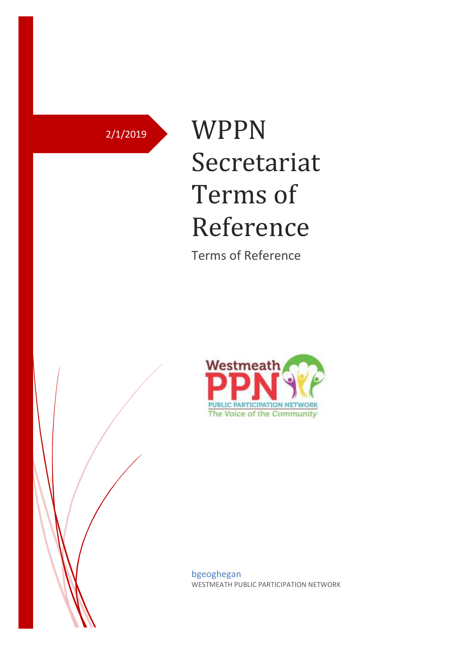# 2/1/2019 WPPN Secretariat Terms of Reference

Terms of Reference



bgeoghegan WESTMEATH PUBLIC PARTICIPATION NETWORK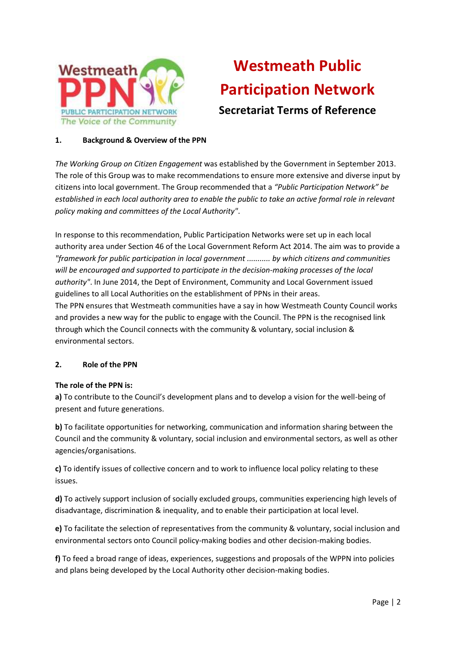

# **Westmeath Public Participation Network Secretariat Terms of Reference**

# **1. Background & Overview of the PPN**

*The Working Group on Citizen Engagement* was established by the Government in September 2013. The role of this Group was to make recommendations to ensure more extensive and diverse input by citizens into local government. The Group recommended that a *"Public Participation Network" be established in each local authority area to enable the public to take an active formal role in relevant policy making and committees of the Local Authority"*.

In response to this recommendation, Public Participation Networks were set up in each local authority area under Section 46 of the Local Government Reform Act 2014. The aim was to provide a *"framework for public participation in local government ........... by which citizens and communities will be encouraged and supported to participate in the decision-making processes of the local authority"*. In June 2014, the Dept of Environment, Community and Local Government issued guidelines to all Local Authorities on the establishment of PPNs in their areas. The PPN ensures that Westmeath communities have a say in how Westmeath County Council works and provides a new way for the public to engage with the Council. The PPN is the recognised link through which the Council connects with the community & voluntary, social inclusion & environmental sectors.

#### **2. Role of the PPN**

#### **The role of the PPN is:**

**a)** To contribute to the Council's development plans and to develop a vision for the well-being of present and future generations.

**b)** To facilitate opportunities for networking, communication and information sharing between the Council and the community & voluntary, social inclusion and environmental sectors, as well as other agencies/organisations.

**c)** To identify issues of collective concern and to work to influence local policy relating to these issues.

**d)** To actively support inclusion of socially excluded groups, communities experiencing high levels of disadvantage, discrimination & inequality, and to enable their participation at local level.

**e)** To facilitate the selection of representatives from the community & voluntary, social inclusion and environmental sectors onto Council policy-making bodies and other decision-making bodies.

**f)** To feed a broad range of ideas, experiences, suggestions and proposals of the WPPN into policies and plans being developed by the Local Authority other decision-making bodies.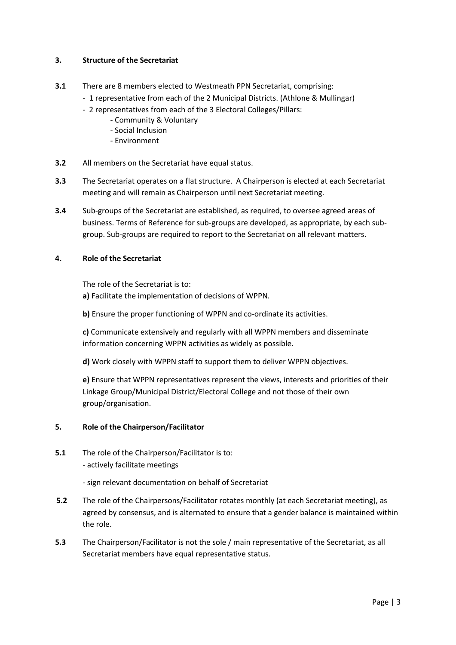# **3. Structure of the Secretariat**

# **3.1** There are 8 members elected to Westmeath PPN Secretariat, comprising:

- 1 representative from each of the 2 Municipal Districts. (Athlone & Mullingar)
- 2 representatives from each of the 3 Electoral Colleges/Pillars:
	- Community & Voluntary
	- Social Inclusion
	- Environment
- **3.2** All members on the Secretariat have equal status.
- **3.3** The Secretariat operates on a flat structure. A Chairperson is elected at each Secretariat meeting and will remain as Chairperson until next Secretariat meeting.
- **3.4** Sub-groups of the Secretariat are established, as required, to oversee agreed areas of business. Terms of Reference for sub-groups are developed, as appropriate, by each subgroup. Sub-groups are required to report to the Secretariat on all relevant matters.

# **4. Role of the Secretariat**

The role of the Secretariat is to:

**a)** Facilitate the implementation of decisions of WPPN.

**b)** Ensure the proper functioning of WPPN and co-ordinate its activities.

**c)** Communicate extensively and regularly with all WPPN members and disseminate information concerning WPPN activities as widely as possible.

**d)** Work closely with WPPN staff to support them to deliver WPPN objectives.

**e)** Ensure that WPPN representatives represent the views, interests and priorities of their Linkage Group/Municipal District/Electoral College and not those of their own group/organisation.

## **5. Role of the Chairperson/Facilitator**

- **5.1** The role of the Chairperson/Facilitator is to: - actively facilitate meetings
	- sign relevant documentation on behalf of Secretariat
- **5.2** The role of the Chairpersons/Facilitator rotates monthly (at each Secretariat meeting), as agreed by consensus, and is alternated to ensure that a gender balance is maintained within the role.
- **5.3** The Chairperson/Facilitator is not the sole / main representative of the Secretariat, as all Secretariat members have equal representative status.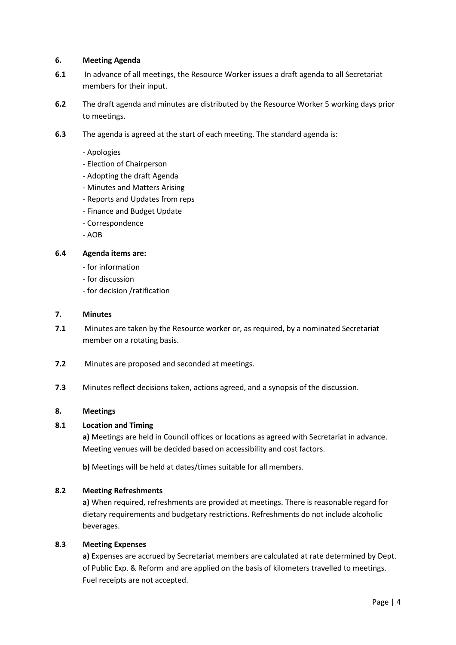#### **6. Meeting Agenda**

- **6.1** In advance of all meetings, the Resource Worker issues a draft agenda to all Secretariat members for their input.
- **6.2** The draft agenda and minutes are distributed by the Resource Worker 5 working days prior to meetings.
- **6.3** The agenda is agreed at the start of each meeting. The standard agenda is:
	- Apologies
	- Election of Chairperson
	- Adopting the draft Agenda
	- Minutes and Matters Arising
	- Reports and Updates from reps
	- Finance and Budget Update
	- Correspondence
	- AOB

#### **6.4 Agenda items are:**

- for information
- for discussion
- for decision /ratification

#### **7. Minutes**

- **7.1** Minutes are taken by the Resource worker or, as required, by a nominated Secretariat member on a rotating basis.
- **7.2** Minutes are proposed and seconded at meetings.
- **7.3** Minutes reflect decisions taken, actions agreed, and a synopsis of the discussion.

#### **8. Meetings**

#### **8.1 Location and Timing**

**a)** Meetings are held in Council offices or locations as agreed with Secretariat in advance. Meeting venues will be decided based on accessibility and cost factors.

**b)** Meetings will be held at dates/times suitable for all members.

#### **8.2 Meeting Refreshments**

**a)** When required, refreshments are provided at meetings. There is reasonable regard for dietary requirements and budgetary restrictions. Refreshments do not include alcoholic beverages.

#### **8.3 Meeting Expenses**

**a)** Expenses are accrued by Secretariat members are calculated at rate determined by Dept. of Public Exp. & Reform and are applied on the basis of kilometers travelled to meetings. Fuel receipts are not accepted.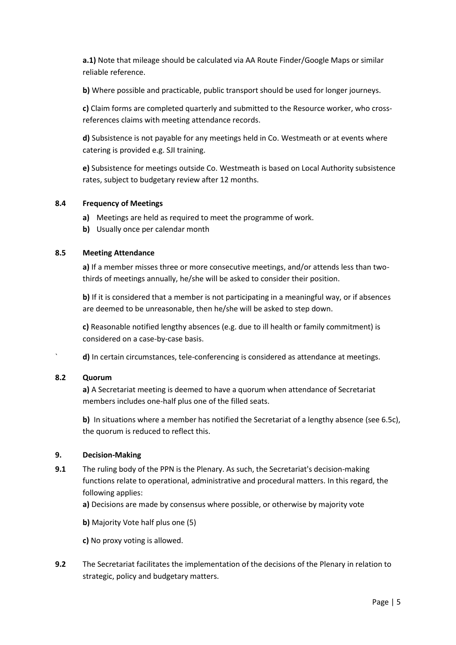**a.1)** Note that mileage should be calculated via AA Route Finder/Google Maps or similar reliable reference.

**b)** Where possible and practicable, public transport should be used for longer journeys.

**c)** Claim forms are completed quarterly and submitted to the Resource worker, who crossreferences claims with meeting attendance records.

**d)** Subsistence is not payable for any meetings held in Co. Westmeath or at events where catering is provided e.g. SJI training.

**e)** Subsistence for meetings outside Co. Westmeath is based on Local Authority subsistence rates, subject to budgetary review after 12 months.

# **8.4 Frequency of Meetings**

- **a)** Meetings are held as required to meet the programme of work.
- **b)** Usually once per calendar month

## **8.5 Meeting Attendance**

**a)** If a member misses three or more consecutive meetings, and/or attends less than twothirds of meetings annually, he/she will be asked to consider their position.

**b)** If it is considered that a member is not participating in a meaningful way, or if absences are deemed to be unreasonable, then he/she will be asked to step down.

**c)** Reasonable notified lengthy absences (e.g. due to ill health or family commitment) is considered on a case-by-case basis.

` **d)** In certain circumstances, tele-conferencing is considered as attendance at meetings.

#### **8.2 Quorum**

**a)** A Secretariat meeting is deemed to have a quorum when attendance of Secretariat members includes one-half plus one of the filled seats.

**b)** In situations where a member has notified the Secretariat of a lengthy absence (see 6.5c), the quorum is reduced to reflect this.

#### **9. Decision-Making**

- **9.1** The ruling body of the PPN is the Plenary. As such, the Secretariat's decision-making functions relate to operational, administrative and procedural matters. In this regard, the following applies:
	- **a)** Decisions are made by consensus where possible, or otherwise by majority vote
	- **b)** Majority Vote half plus one (5)

**c)** No proxy voting is allowed.

**9.2** The Secretariat facilitates the implementation of the decisions of the Plenary in relation to strategic, policy and budgetary matters.